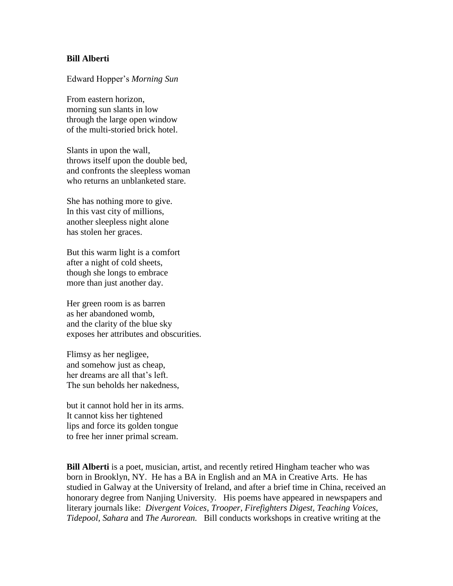## **Bill Alberti**

Edward Hopper's *Morning Sun*

From eastern horizon, morning sun slants in low through the large open window of the multi-storied brick hotel.

Slants in upon the wall, throws itself upon the double bed, and confronts the sleepless woman who returns an unblanketed stare.

She has nothing more to give. In this vast city of millions, another sleepless night alone has stolen her graces.

But this warm light is a comfort after a night of cold sheets, though she longs to embrace more than just another day.

Her green room is as barren as her abandoned womb, and the clarity of the blue sky exposes her attributes and obscurities.

Flimsy as her negligee, and somehow just as cheap, her dreams are all that's left. The sun beholds her nakedness,

but it cannot hold her in its arms. It cannot kiss her tightened lips and force its golden tongue to free her inner primal scream.

**Bill Alberti** is a poet, musician, artist, and recently retired Hingham teacher who was born in Brooklyn, NY. He has a BA in English and an MA in Creative Arts. He has studied in Galway at the University of Ireland, and after a brief time in China, received an honorary degree from Nanjing University. His poems have appeared in newspapers and literary journals like: *Divergent Voices, Trooper, Firefighters Digest, Teaching Voices, Tidepool, Sahara* and *The Aurorean.* Bill conducts workshops in creative writing at the